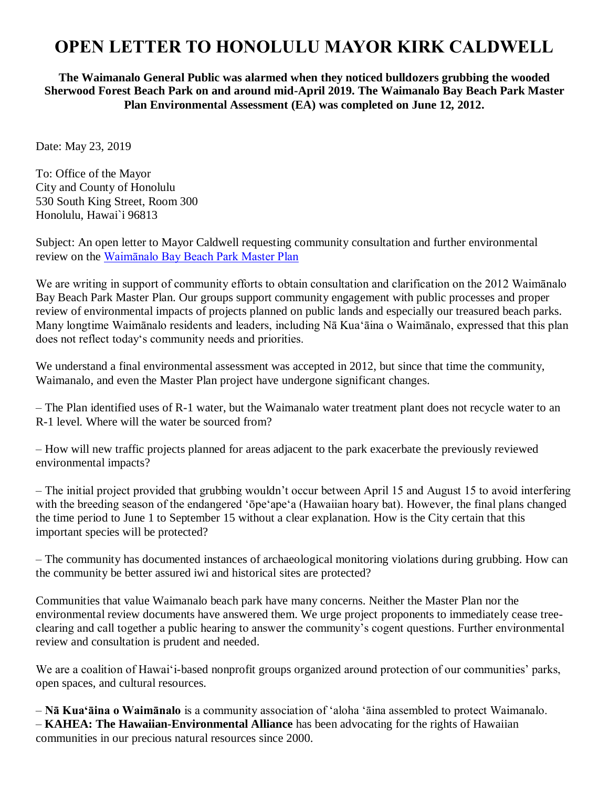## **OPEN LETTER TO HONOLULU MAYOR KIRK CALDWELL**

**The Waimanalo General Public was alarmed when they noticed bulldozers grubbing the wooded Sherwood Forest Beach Park on and around mid-April 2019. The Waimanalo Bay Beach Park Master Plan Environmental Assessment (EA) was completed on June 12, 2012.**

Date: May 23, 2019

To: Office of the Mayor City and County of Honolulu 530 South King Street, Room 300 Honolulu, Hawai`i 96813

Subject: An open letter to Mayor Caldwell requesting community consultation and further environmental review on the [Waimānalo Bay Beach Park Master Plan](http://oeqc2.doh.hawaii.gov/EA_EIS_Library/2012-07-08-OA-FEA-Waimanalo-Beach-Park-Master-Plan.pdf#search=Sherwood%20Forest%202012)

We are writing in support of community efforts to obtain consultation and clarification on the 2012 Waimānalo Bay Beach Park Master Plan. Our groups support community engagement with public processes and proper review of environmental impacts of projects planned on public lands and especially our treasured beach parks. Many longtime Waimānalo residents and leaders, including Nā Kuaʻāina o Waimānalo, expressed that this plan does not reflect todayʻs community needs and priorities.

We understand a final environmental assessment was accepted in 2012, but since that time the community, Waimanalo, and even the Master Plan project have undergone significant changes.

– The Plan identified uses of R-1 water, but the Waimanalo water treatment plant does not recycle water to an R-1 level. Where will the water be sourced from?

– How will new traffic projects planned for areas adjacent to the park exacerbate the previously reviewed environmental impacts?

– The initial project provided that grubbing wouldn't occur between April 15 and August 15 to avoid interfering with the breeding season of the endangered 'ōpe'ape'a (Hawaiian hoary bat). However, the final plans changed the time period to June 1 to September 15 without a clear explanation. How is the City certain that this important species will be protected?

– The community has documented instances of archaeological monitoring violations during grubbing. How can the community be better assured iwi and historical sites are protected?

Communities that value Waimanalo beach park have many concerns. Neither the Master Plan nor the environmental review documents have answered them. We urge project proponents to immediately cease treeclearing and call together a public hearing to answer the community's cogent questions. Further environmental review and consultation is prudent and needed.

We are a coalition of Hawai'i-based nonprofit groups organized around protection of our communities' parks, open spaces, and cultural resources.

– **Nā Kuaʻāina o Waimānalo** is a community association of ʻaloha ʻāina assembled to protect Waimanalo. – **KAHEA: The Hawaiian-Environmental Alliance** has been advocating for the rights of Hawaiian communities in our precious natural resources since 2000.